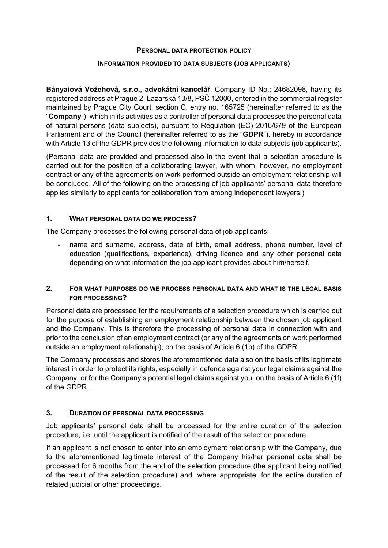#### **PERSONAL DATA PROTECTION POLICY**

#### **INFORMATION PROVIDED TO DATA SUBJECTS (JOB APPLICANTS)**

**Bányaiová Vožehová, s.r.o., advokátní kancelář**, Company ID No.: 24682098, having its registered address at Prague 2, Lazarská 13/8, PSČ 12000, entered in the commercial register maintained by Prague City Court, section C, entry no. 165725 (hereinafter referred to as the "**Company**"), which in its activities as a controller of personal data processes the personal data of natural persons (data subjects), pursuant to Regulation (EC) 2016/679 of the European Parliament and of the Council (hereinafter referred to as the "**GDPR**"), hereby in accordance with Article 13 of the GDPR provides the following information to data subjects (job applicants).

(Personal data are provided and processed also in the event that a selection procedure is carried out for the position of a collaborating lawyer, with whom, however, no employment contract or any of the agreements on work performed outside an employment relationship will be concluded. All of the following on the processing of job applicants' personal data therefore applies similarly to applicants for collaboration from among independent lawyers.)

## **1. WHAT PERSONAL DATA DO WE PROCESS?**

The Company processes the following personal data of job applicants:

hame and surname, address, date of birth, email address, phone number, level of education (qualifications, experience), driving licence and any other personal data depending on what information the job applicant provides about him/herself.

# **2. FOR WHAT PURPOSES DO WE PROCESS PERSONAL DATA AND WHAT IS THE LEGAL BASIS FOR PROCESSING?**

Personal data are processed for the requirements of a selection procedure which is carried out for the purpose of establishing an employment relationship between the chosen job applicant and the Company. This is therefore the processing of personal data in connection with and prior to the conclusion of an employment contract (or any of the agreements on work performed outside an employment relationship), on the basis of Article 6 (1b) of the GDPR.

The Company processes and stores the aforementioned data also on the basis of its legitimate interest in order to protect its rights, especially in defence against your legal claims against the Company, or for the Company's potential legal claims against you, on the basis of Article 6 (1f) of the GDPR.

## **3. DURATION OF PERSONAL DATA PROCESSING**

Job applicants' personal data shall be processed for the entire duration of the selection procedure, i.e. until the applicant is notified of the result of the selection procedure.

If an applicant is not chosen to enter into an employment relationship with the Company, due to the aforementioned legitimate interest of the Company his/her personal data shall be processed for 6 months from the end of the selection procedure (the applicant being notified of the result of the selection procedure) and, where appropriate, for the entire duration of related judicial or other proceedings.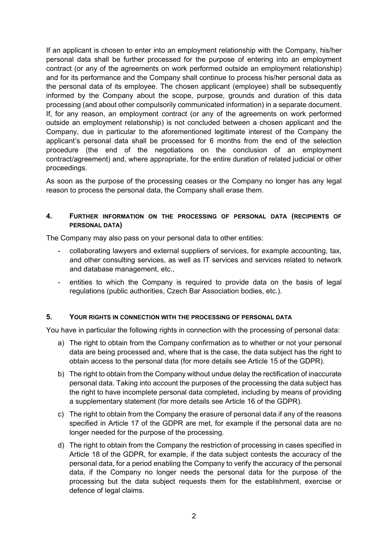If an applicant is chosen to enter into an employment relationship with the Company, his/her personal data shall be further processed for the purpose of entering into an employment contract (or any of the agreements on work performed outside an employment relationship) and for its performance and the Company shall continue to process his/her personal data as the personal data of its employee. The chosen applicant (employee) shall be subsequently informed by the Company about the scope, purpose, grounds and duration of this data processing (and about other compulsorily communicated information) in a separate document. If, for any reason, an employment contract (or any of the agreements on work performed outside an employment relationship) is not concluded between a chosen applicant and the Company, due in particular to the aforementioned legitimate interest of the Company the applicant's personal data shall be processed for 6 months from the end of the selection procedure (the end of the negotiations on the conclusion of an employment contract/agreement) and, where appropriate, for the entire duration of related judicial or other proceedings.

As soon as the purpose of the processing ceases or the Company no longer has any legal reason to process the personal data, the Company shall erase them.

## **4. FURTHER INFORMATION ON THE PROCESSING OF PERSONAL DATA (RECIPIENTS OF PERSONAL DATA)**

The Company may also pass on your personal data to other entities:

- collaborating lawyers and external suppliers of services, for example accounting, tax, and other consulting services, as well as IT services and services related to network and database management, etc.,
- entities to which the Company is required to provide data on the basis of legal regulations (public authorities, Czech Bar Association bodies, etc.).

#### **5. YOUR RIGHTS IN CONNECTION WITH THE PROCESSING OF PERSONAL DATA**

You have in particular the following rights in connection with the processing of personal data:

- a) The right to obtain from the Company confirmation as to whether or not your personal data are being processed and, where that is the case, the data subject has the right to obtain access to the personal data (for more details see Article 15 of the GDPR).
- b) The right to obtain from the Company without undue delay the rectification of inaccurate personal data. Taking into account the purposes of the processing the data subject has the right to have incomplete personal data completed, including by means of providing a supplementary statement (for more details see Article 16 of the GDPR).
- c) The right to obtain from the Company the erasure of personal data if any of the reasons specified in Article 17 of the GDPR are met, for example if the personal data are no longer needed for the purpose of the processing.
- d) The right to obtain from the Company the restriction of processing in cases specified in Article 18 of the GDPR, for example, if the data subject contests the accuracy of the personal data, for a period enabling the Company to verify the accuracy of the personal data, if the Company no longer needs the personal data for the purpose of the processing but the data subject requests them for the establishment, exercise or defence of legal claims.